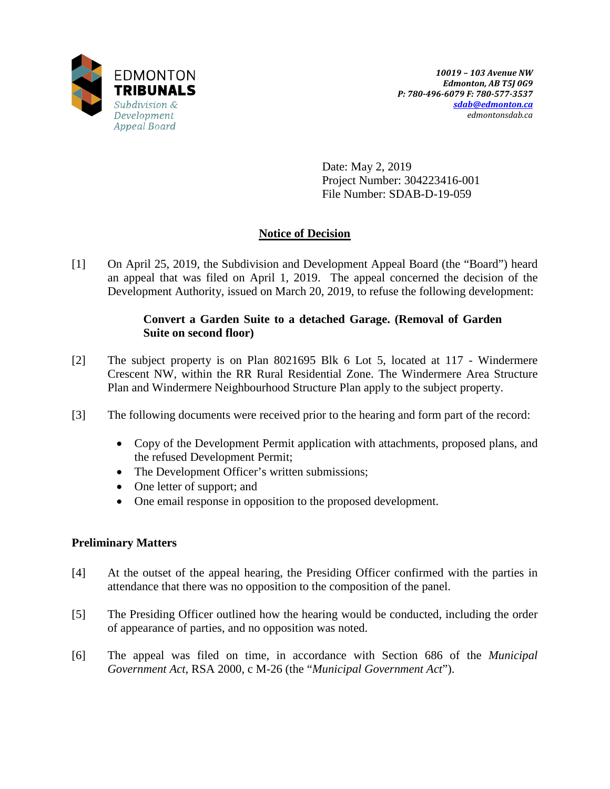

Date: May 2, 2019 Project Number: 304223416-001 File Number: SDAB-D-19-059

# **Notice of Decision**

[1] On April 25, 2019, the Subdivision and Development Appeal Board (the "Board") heard an appeal that was filed on April 1, 2019. The appeal concerned the decision of the Development Authority, issued on March 20, 2019, to refuse the following development:

## **Convert a Garden Suite to a detached Garage. (Removal of Garden Suite on second floor)**

- [2] The subject property is on Plan 8021695 Blk 6 Lot 5, located at 117 Windermere Crescent NW, within the RR Rural Residential Zone. The Windermere Area Structure Plan and Windermere Neighbourhood Structure Plan apply to the subject property.
- [3] The following documents were received prior to the hearing and form part of the record:
	- Copy of the Development Permit application with attachments, proposed plans, and the refused Development Permit;
	- The Development Officer's written submissions;
	- One letter of support; and
	- One email response in opposition to the proposed development.

### **Preliminary Matters**

- [4] At the outset of the appeal hearing, the Presiding Officer confirmed with the parties in attendance that there was no opposition to the composition of the panel.
- [5] The Presiding Officer outlined how the hearing would be conducted, including the order of appearance of parties, and no opposition was noted.
- [6] The appeal was filed on time, in accordance with Section 686 of the *Municipal Government Act*, RSA 2000, c M-26 (the "*Municipal Government Act*").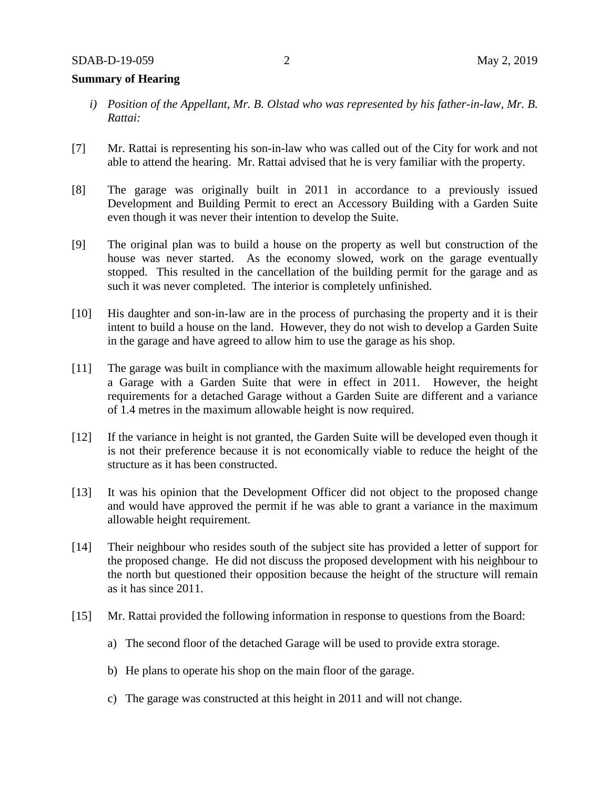#### **Summary of Hearing**

- *i) Position of the Appellant, Mr. B. Olstad who was represented by his father-in-law, Mr. B. Rattai:*
- [7] Mr. Rattai is representing his son-in-law who was called out of the City for work and not able to attend the hearing. Mr. Rattai advised that he is very familiar with the property.
- [8] The garage was originally built in 2011 in accordance to a previously issued Development and Building Permit to erect an Accessory Building with a Garden Suite even though it was never their intention to develop the Suite.
- [9] The original plan was to build a house on the property as well but construction of the house was never started. As the economy slowed, work on the garage eventually stopped. This resulted in the cancellation of the building permit for the garage and as such it was never completed. The interior is completely unfinished.
- [10] His daughter and son-in-law are in the process of purchasing the property and it is their intent to build a house on the land. However, they do not wish to develop a Garden Suite in the garage and have agreed to allow him to use the garage as his shop.
- [11] The garage was built in compliance with the maximum allowable height requirements for a Garage with a Garden Suite that were in effect in 2011. However, the height requirements for a detached Garage without a Garden Suite are different and a variance of 1.4 metres in the maximum allowable height is now required.
- [12] If the variance in height is not granted, the Garden Suite will be developed even though it is not their preference because it is not economically viable to reduce the height of the structure as it has been constructed.
- [13] It was his opinion that the Development Officer did not object to the proposed change and would have approved the permit if he was able to grant a variance in the maximum allowable height requirement.
- [14] Their neighbour who resides south of the subject site has provided a letter of support for the proposed change. He did not discuss the proposed development with his neighbour to the north but questioned their opposition because the height of the structure will remain as it has since 2011.
- [15] Mr. Rattai provided the following information in response to questions from the Board:
	- a) The second floor of the detached Garage will be used to provide extra storage.
	- b) He plans to operate his shop on the main floor of the garage.
	- c) The garage was constructed at this height in 2011 and will not change.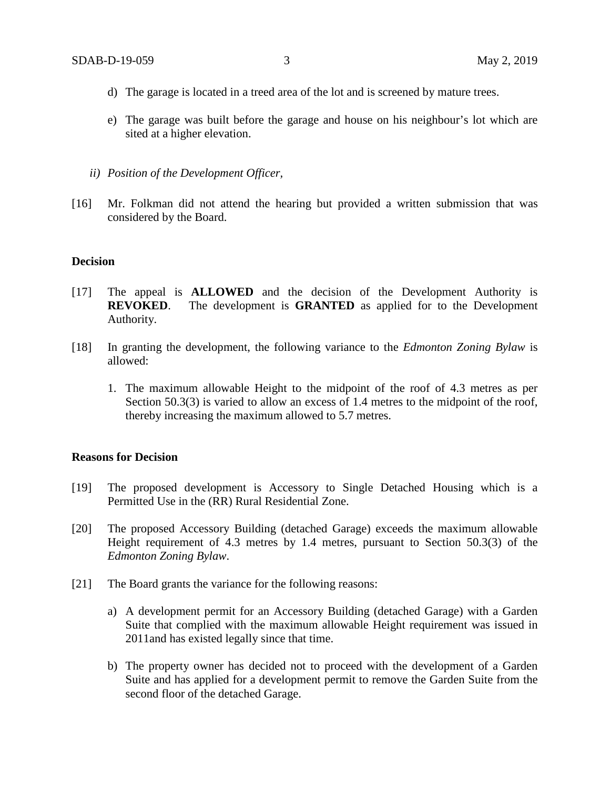- d) The garage is located in a treed area of the lot and is screened by mature trees.
- e) The garage was built before the garage and house on his neighbour's lot which are sited at a higher elevation.
- *ii) Position of the Development Officer,*
- [16] Mr. Folkman did not attend the hearing but provided a written submission that was considered by the Board.

#### **Decision**

- [17] The appeal is **ALLOWED** and the decision of the Development Authority is **REVOKED**. The development is **GRANTED** as applied for to the Development Authority.
- [18] In granting the development, the following variance to the *Edmonton Zoning Bylaw* is allowed:
	- 1. The maximum allowable Height to the midpoint of the roof of 4.3 metres as per Section 50.3(3) is varied to allow an excess of 1.4 metres to the midpoint of the roof, thereby increasing the maximum allowed to 5.7 metres.

### **Reasons for Decision**

- [19] The proposed development is Accessory to Single Detached Housing which is a Permitted Use in the (RR) Rural Residential Zone.
- [20] The proposed Accessory Building (detached Garage) exceeds the maximum allowable Height requirement of 4.3 metres by 1.4 metres, pursuant to Section 50.3(3) of the *Edmonton Zoning Bylaw*.
- [21] The Board grants the variance for the following reasons:
	- a) A development permit for an Accessory Building (detached Garage) with a Garden Suite that complied with the maximum allowable Height requirement was issued in 2011and has existed legally since that time.
	- b) The property owner has decided not to proceed with the development of a Garden Suite and has applied for a development permit to remove the Garden Suite from the second floor of the detached Garage.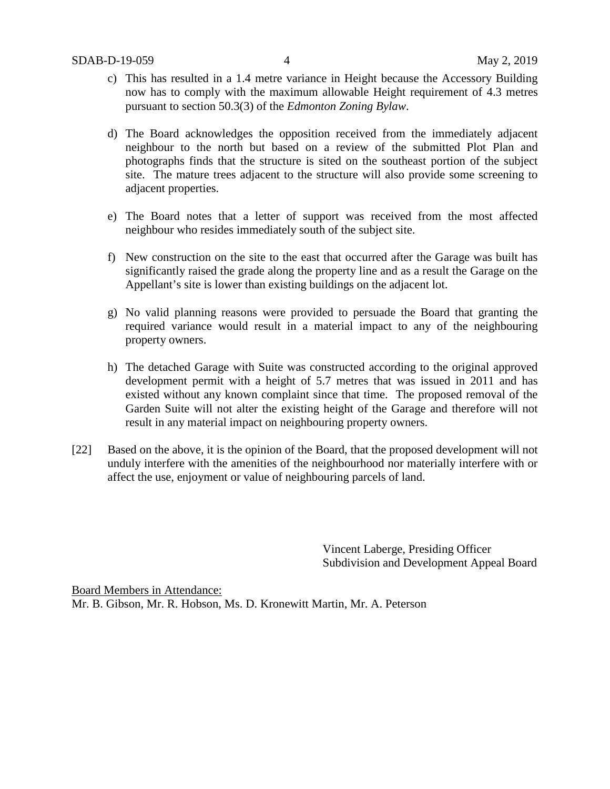- c) This has resulted in a 1.4 metre variance in Height because the Accessory Building now has to comply with the maximum allowable Height requirement of 4.3 metres pursuant to section 50.3(3) of the *Edmonton Zoning Bylaw*.
- d) The Board acknowledges the opposition received from the immediately adjacent neighbour to the north but based on a review of the submitted Plot Plan and photographs finds that the structure is sited on the southeast portion of the subject site. The mature trees adjacent to the structure will also provide some screening to adjacent properties.
- e) The Board notes that a letter of support was received from the most affected neighbour who resides immediately south of the subject site.
- f) New construction on the site to the east that occurred after the Garage was built has significantly raised the grade along the property line and as a result the Garage on the Appellant's site is lower than existing buildings on the adjacent lot.
- g) No valid planning reasons were provided to persuade the Board that granting the required variance would result in a material impact to any of the neighbouring property owners.
- h) The detached Garage with Suite was constructed according to the original approved development permit with a height of 5.7 metres that was issued in 2011 and has existed without any known complaint since that time. The proposed removal of the Garden Suite will not alter the existing height of the Garage and therefore will not result in any material impact on neighbouring property owners.
- [22] Based on the above, it is the opinion of the Board, that the proposed development will not unduly interfere with the amenities of the neighbourhood nor materially interfere with or affect the use, enjoyment or value of neighbouring parcels of land.

Vincent Laberge, Presiding Officer Subdivision and Development Appeal Board

Board Members in Attendance: Mr. B. Gibson, Mr. R. Hobson, Ms. D. Kronewitt Martin, Mr. A. Peterson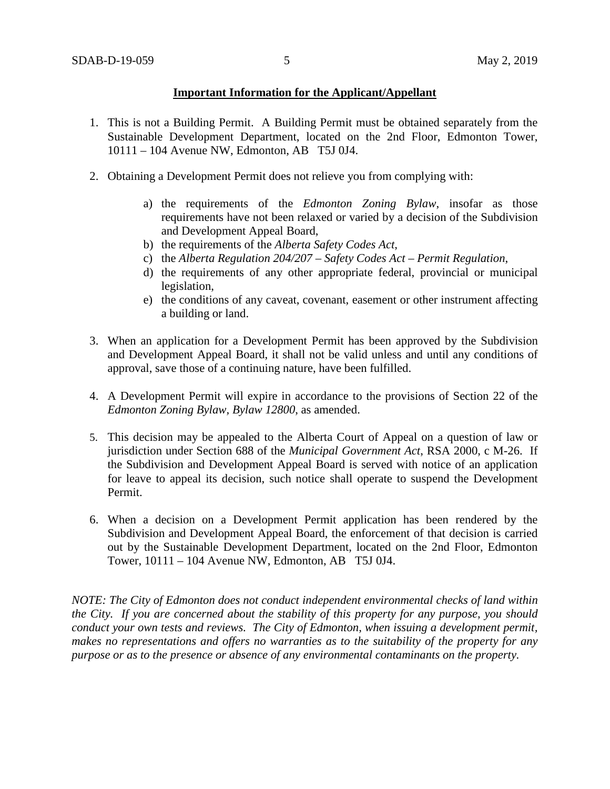### **Important Information for the Applicant/Appellant**

- 1. This is not a Building Permit. A Building Permit must be obtained separately from the Sustainable Development Department, located on the 2nd Floor, Edmonton Tower, 10111 – 104 Avenue NW, Edmonton, AB T5J 0J4.
- 2. Obtaining a Development Permit does not relieve you from complying with:
	- a) the requirements of the *Edmonton Zoning Bylaw*, insofar as those requirements have not been relaxed or varied by a decision of the Subdivision and Development Appeal Board,
	- b) the requirements of the *Alberta Safety Codes Act*,
	- c) the *Alberta Regulation 204/207 – Safety Codes Act – Permit Regulation*,
	- d) the requirements of any other appropriate federal, provincial or municipal legislation,
	- e) the conditions of any caveat, covenant, easement or other instrument affecting a building or land.
- 3. When an application for a Development Permit has been approved by the Subdivision and Development Appeal Board, it shall not be valid unless and until any conditions of approval, save those of a continuing nature, have been fulfilled.
- 4. A Development Permit will expire in accordance to the provisions of Section 22 of the *Edmonton Zoning Bylaw, Bylaw 12800*, as amended.
- 5. This decision may be appealed to the Alberta Court of Appeal on a question of law or jurisdiction under Section 688 of the *Municipal Government Act*, RSA 2000, c M-26. If the Subdivision and Development Appeal Board is served with notice of an application for leave to appeal its decision, such notice shall operate to suspend the Development Permit.
- 6. When a decision on a Development Permit application has been rendered by the Subdivision and Development Appeal Board, the enforcement of that decision is carried out by the Sustainable Development Department, located on the 2nd Floor, Edmonton Tower, 10111 – 104 Avenue NW, Edmonton, AB T5J 0J4.

*NOTE: The City of Edmonton does not conduct independent environmental checks of land within the City. If you are concerned about the stability of this property for any purpose, you should conduct your own tests and reviews. The City of Edmonton, when issuing a development permit, makes no representations and offers no warranties as to the suitability of the property for any purpose or as to the presence or absence of any environmental contaminants on the property.*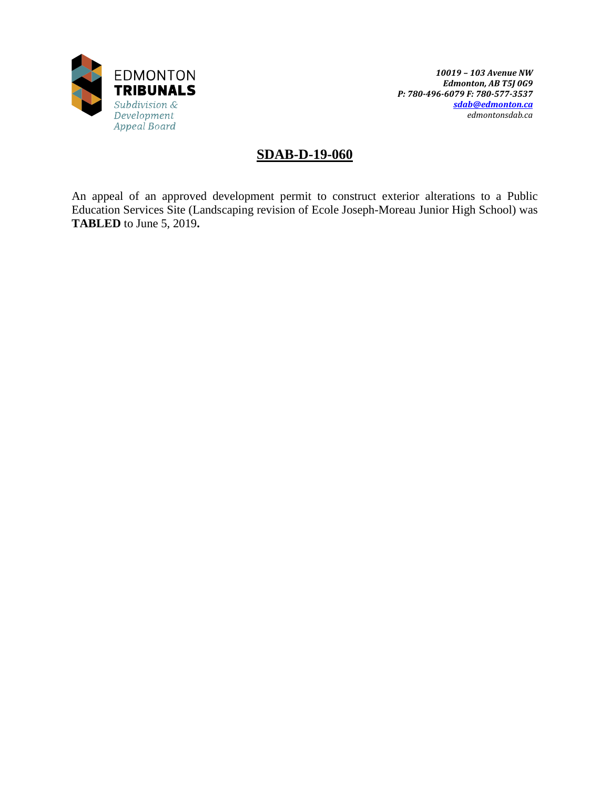

# **SDAB-D-19-060**

An appeal of an approved development permit to construct exterior alterations to a Public Education Services Site (Landscaping revision of Ecole Joseph-Moreau Junior High School) was **TABLED** to June 5, 2019**.**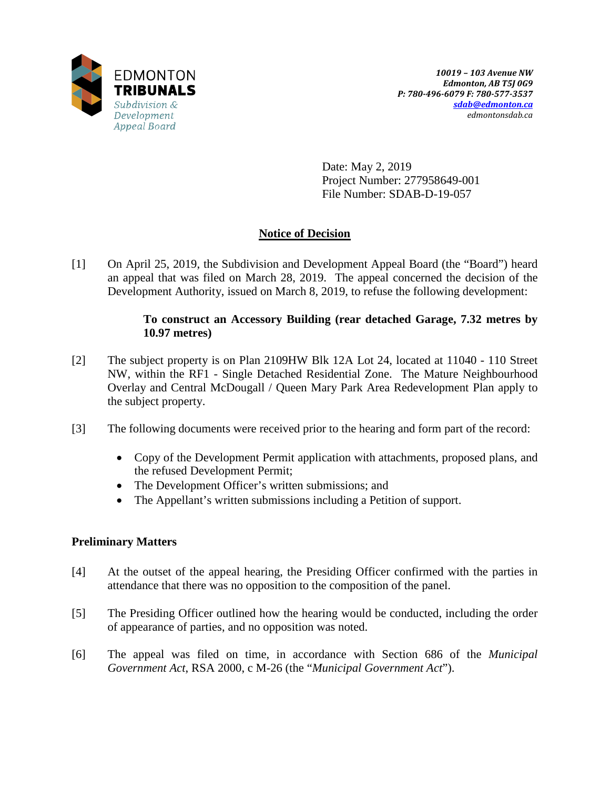

Date: May 2, 2019 Project Number: 277958649-001 File Number: SDAB-D-19-057

# **Notice of Decision**

[1] On April 25, 2019, the Subdivision and Development Appeal Board (the "Board") heard an appeal that was filed on March 28, 2019. The appeal concerned the decision of the Development Authority, issued on March 8, 2019, to refuse the following development:

## **To construct an Accessory Building (rear detached Garage, 7.32 metres by 10.97 metres)**

- [2] The subject property is on Plan 2109HW Blk 12A Lot 24, located at 11040 110 Street NW, within the RF1 - Single Detached Residential Zone. The Mature Neighbourhood Overlay and Central McDougall / Queen Mary Park Area Redevelopment Plan apply to the subject property.
- [3] The following documents were received prior to the hearing and form part of the record:
	- Copy of the Development Permit application with attachments, proposed plans, and the refused Development Permit;
	- The Development Officer's written submissions; and
	- The Appellant's written submissions including a Petition of support.

## **Preliminary Matters**

- [4] At the outset of the appeal hearing, the Presiding Officer confirmed with the parties in attendance that there was no opposition to the composition of the panel.
- [5] The Presiding Officer outlined how the hearing would be conducted, including the order of appearance of parties, and no opposition was noted.
- [6] The appeal was filed on time, in accordance with Section 686 of the *Municipal Government Act*, RSA 2000, c M-26 (the "*Municipal Government Act*").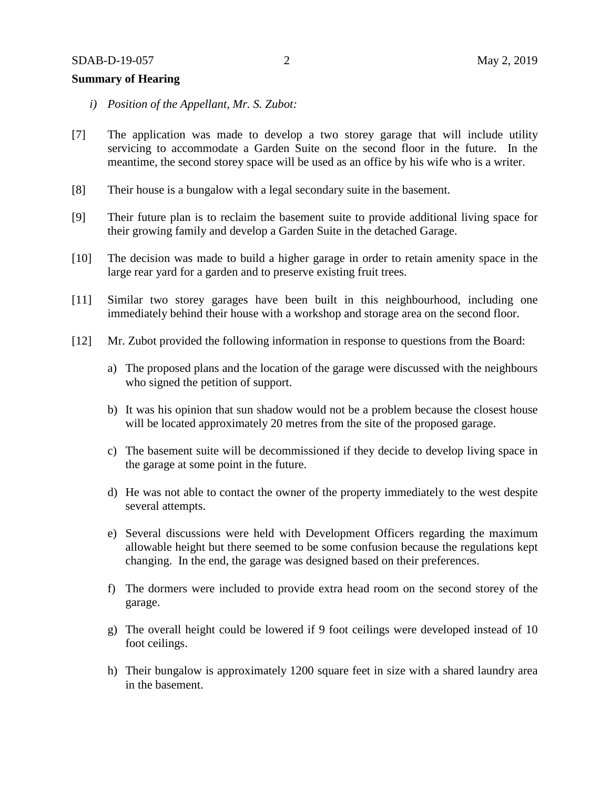#### **Summary of Hearing**

- *i) Position of the Appellant, Mr. S. Zubot:*
- [7] The application was made to develop a two storey garage that will include utility servicing to accommodate a Garden Suite on the second floor in the future. In the meantime, the second storey space will be used as an office by his wife who is a writer.
- [8] Their house is a bungalow with a legal secondary suite in the basement.
- [9] Their future plan is to reclaim the basement suite to provide additional living space for their growing family and develop a Garden Suite in the detached Garage.
- [10] The decision was made to build a higher garage in order to retain amenity space in the large rear yard for a garden and to preserve existing fruit trees.
- [11] Similar two storey garages have been built in this neighbourhood, including one immediately behind their house with a workshop and storage area on the second floor.
- [12] Mr. Zubot provided the following information in response to questions from the Board:
	- a) The proposed plans and the location of the garage were discussed with the neighbours who signed the petition of support.
	- b) It was his opinion that sun shadow would not be a problem because the closest house will be located approximately 20 metres from the site of the proposed garage.
	- c) The basement suite will be decommissioned if they decide to develop living space in the garage at some point in the future.
	- d) He was not able to contact the owner of the property immediately to the west despite several attempts.
	- e) Several discussions were held with Development Officers regarding the maximum allowable height but there seemed to be some confusion because the regulations kept changing. In the end, the garage was designed based on their preferences.
	- f) The dormers were included to provide extra head room on the second storey of the garage.
	- g) The overall height could be lowered if 9 foot ceilings were developed instead of 10 foot ceilings.
	- h) Their bungalow is approximately 1200 square feet in size with a shared laundry area in the basement.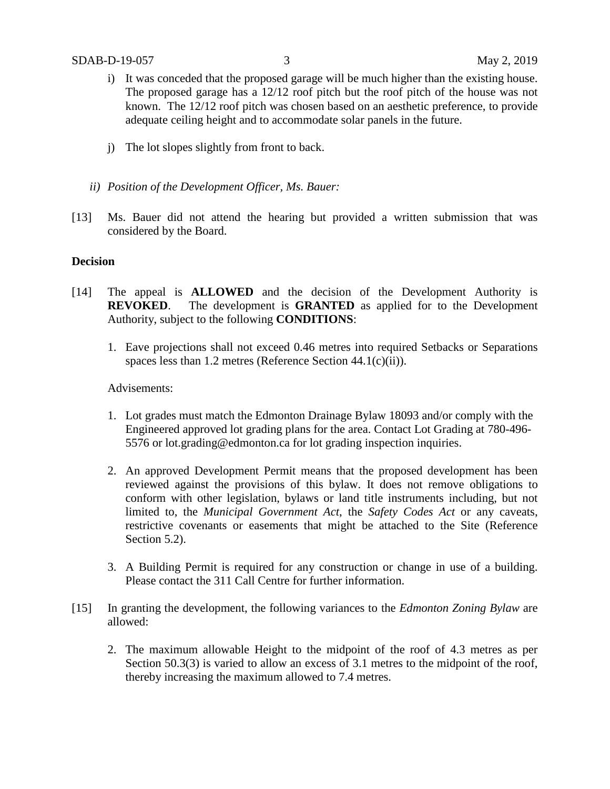- i) It was conceded that the proposed garage will be much higher than the existing house. The proposed garage has a 12/12 roof pitch but the roof pitch of the house was not known. The 12/12 roof pitch was chosen based on an aesthetic preference, to provide adequate ceiling height and to accommodate solar panels in the future.
- j) The lot slopes slightly from front to back.
- *ii) Position of the Development Officer, Ms. Bauer:*
- [13] Ms. Bauer did not attend the hearing but provided a written submission that was considered by the Board.

### **Decision**

- [14] The appeal is **ALLOWED** and the decision of the Development Authority is **REVOKED**. The development is **GRANTED** as applied for to the Development Authority, subject to the following **CONDITIONS**:
	- 1. Eave projections shall not exceed 0.46 metres into required Setbacks or Separations spaces less than 1.2 metres (Reference Section 44.1(c)(ii)).

### Advisements:

- 1. Lot grades must match the Edmonton Drainage Bylaw 18093 and/or comply with the Engineered approved lot grading plans for the area. Contact Lot Grading at 780-496- 5576 or lot.grading@edmonton.ca for lot grading inspection inquiries.
- 2. An approved Development Permit means that the proposed development has been reviewed against the provisions of this bylaw. It does not remove obligations to conform with other legislation, bylaws or land title instruments including, but not limited to, the *Municipal Government Act*, the *Safety Codes Act* or any caveats, restrictive covenants or easements that might be attached to the Site (Reference Section 5.2).
- 3. A Building Permit is required for any construction or change in use of a building. Please contact the 311 Call Centre for further information.
- [15] In granting the development, the following variances to the *Edmonton Zoning Bylaw* are allowed:
	- 2. The maximum allowable Height to the midpoint of the roof of 4.3 metres as per Section 50.3(3) is varied to allow an excess of 3.1 metres to the midpoint of the roof, thereby increasing the maximum allowed to 7.4 metres.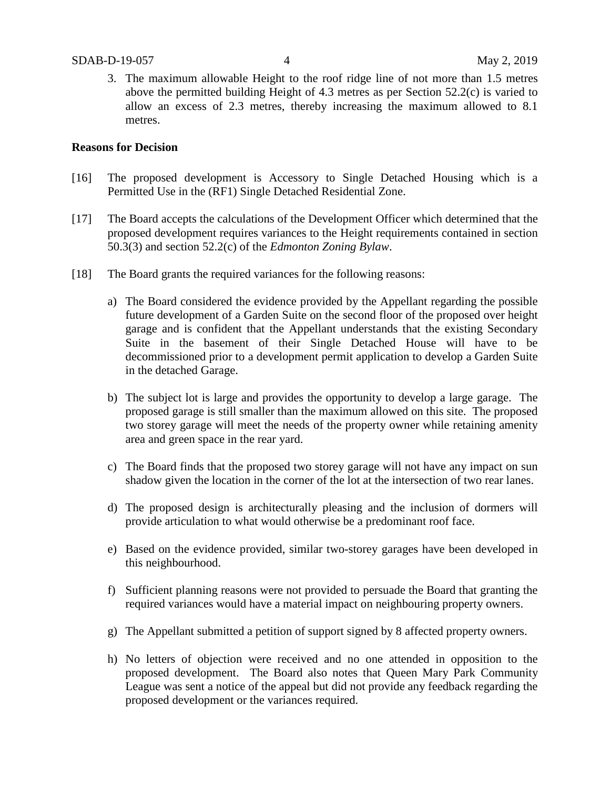3. The maximum allowable Height to the roof ridge line of not more than 1.5 metres above the permitted building Height of 4.3 metres as per Section 52.2(c) is varied to allow an excess of 2.3 metres, thereby increasing the maximum allowed to 8.1 metres.

### **Reasons for Decision**

- [16] The proposed development is Accessory to Single Detached Housing which is a Permitted Use in the (RF1) Single Detached Residential Zone.
- [17] The Board accepts the calculations of the Development Officer which determined that the proposed development requires variances to the Height requirements contained in section 50.3(3) and section 52.2(c) of the *Edmonton Zoning Bylaw*.
- [18] The Board grants the required variances for the following reasons:
	- a) The Board considered the evidence provided by the Appellant regarding the possible future development of a Garden Suite on the second floor of the proposed over height garage and is confident that the Appellant understands that the existing Secondary Suite in the basement of their Single Detached House will have to be decommissioned prior to a development permit application to develop a Garden Suite in the detached Garage.
	- b) The subject lot is large and provides the opportunity to develop a large garage. The proposed garage is still smaller than the maximum allowed on this site. The proposed two storey garage will meet the needs of the property owner while retaining amenity area and green space in the rear yard.
	- c) The Board finds that the proposed two storey garage will not have any impact on sun shadow given the location in the corner of the lot at the intersection of two rear lanes.
	- d) The proposed design is architecturally pleasing and the inclusion of dormers will provide articulation to what would otherwise be a predominant roof face.
	- e) Based on the evidence provided, similar two-storey garages have been developed in this neighbourhood.
	- f) Sufficient planning reasons were not provided to persuade the Board that granting the required variances would have a material impact on neighbouring property owners.
	- g) The Appellant submitted a petition of support signed by 8 affected property owners.
	- h) No letters of objection were received and no one attended in opposition to the proposed development. The Board also notes that Queen Mary Park Community League was sent a notice of the appeal but did not provide any feedback regarding the proposed development or the variances required.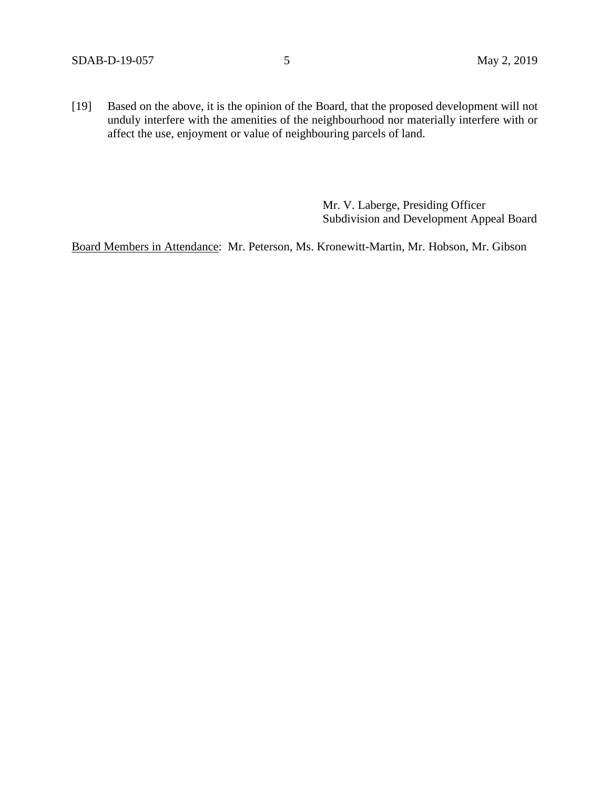[19] Based on the above, it is the opinion of the Board, that the proposed development will not unduly interfere with the amenities of the neighbourhood nor materially interfere with or affect the use, enjoyment or value of neighbouring parcels of land.

> Mr. V. Laberge, Presiding Officer Subdivision and Development Appeal Board

Board Members in Attendance: Mr. Peterson, Ms. Kronewitt-Martin, Mr. Hobson, Mr. Gibson